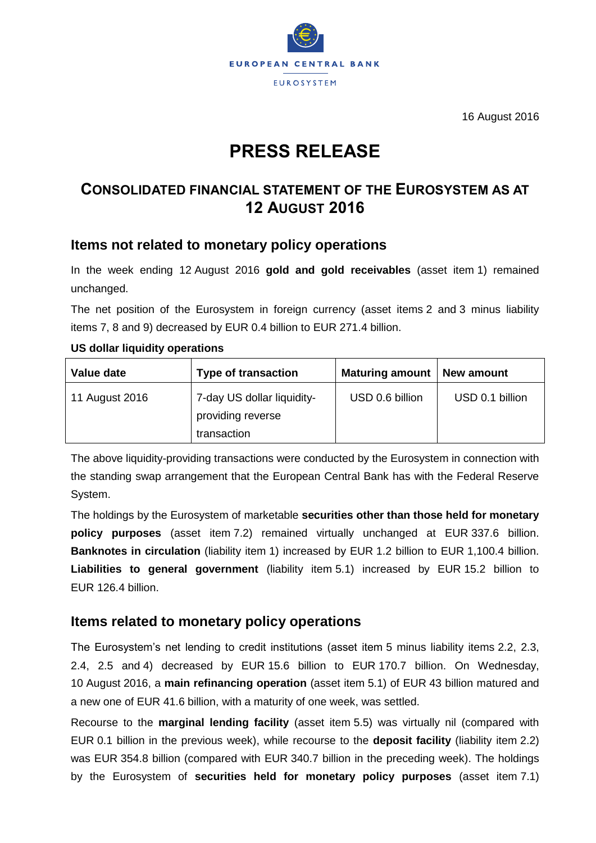

16 August 2016

# **PRESS RELEASE**

# **CONSOLIDATED FINANCIAL STATEMENT OF THE EUROSYSTEM AS AT 12 AUGUST 2016**

## **Items not related to monetary policy operations**

In the week ending 12 August 2016 **gold and gold receivables** (asset item 1) remained unchanged.

The net position of the Eurosystem in foreign currency (asset items 2 and 3 minus liability items 7, 8 and 9) decreased by EUR 0.4 billion to EUR 271.4 billion.

#### **US dollar liquidity operations**

| Value date     | <b>Type of transaction</b>                                     | <b>Maturing amount</b> | New amount      |
|----------------|----------------------------------------------------------------|------------------------|-----------------|
| 11 August 2016 | 7-day US dollar liquidity-<br>providing reverse<br>transaction | USD 0.6 billion        | USD 0.1 billion |

The above liquidity-providing transactions were conducted by the Eurosystem in connection with the standing swap arrangement that the European Central Bank has with the Federal Reserve System.

The holdings by the Eurosystem of marketable **securities other than those held for monetary policy purposes** (asset item 7.2) remained virtually unchanged at EUR 337.6 billion. **Banknotes in circulation** (liability item 1) increased by EUR 1.2 billion to EUR 1,100.4 billion. **Liabilities to general government** (liability item 5.1) increased by EUR 15.2 billion to EUR 126.4 billion.

### **Items related to monetary policy operations**

The Eurosystem's net lending to credit institutions (asset item 5 minus liability items 2.2, 2.3, 2.4, 2.5 and 4) decreased by EUR 15.6 billion to EUR 170.7 billion. On Wednesday, 10 August 2016, a **main refinancing operation** (asset item 5.1) of EUR 43 billion matured and a new one of EUR 41.6 billion, with a maturity of one week, was settled.

Recourse to the **marginal lending facility** (asset item 5.5) was virtually nil (compared with EUR 0.1 billion in the previous week), while recourse to the **deposit facility** (liability item 2.2) was EUR 354.8 billion (compared with EUR 340.7 billion in the preceding week). The holdings by the Eurosystem of **securities held for monetary policy purposes** (asset item 7.1)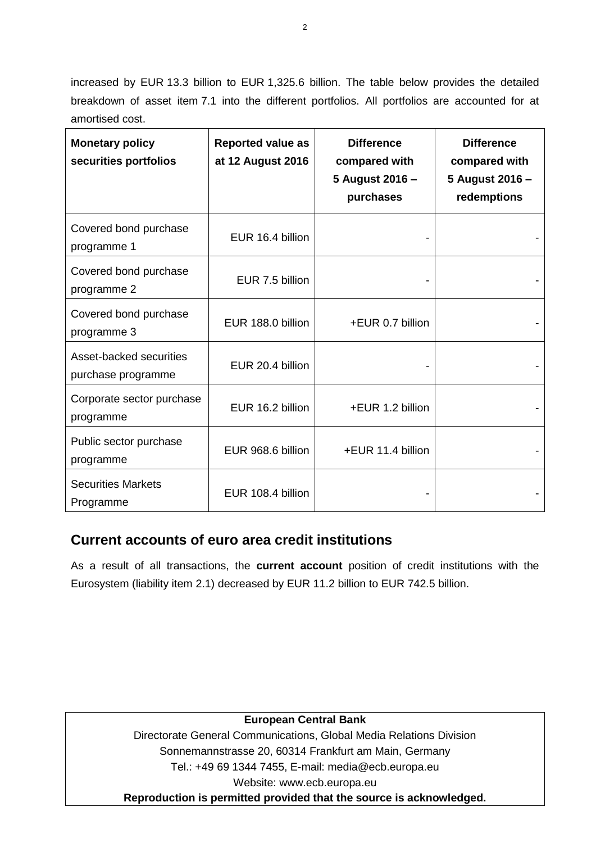increased by EUR 13.3 billion to EUR 1,325.6 billion. The table below provides the detailed breakdown of asset item 7.1 into the different portfolios. All portfolios are accounted for at amortised cost.

| <b>Monetary policy</b><br>securities portfolios | <b>Reported value as</b><br>at 12 August 2016 | <b>Difference</b><br>compared with<br>5 August 2016 -<br>purchases | <b>Difference</b><br>compared with<br>5 August 2016 -<br>redemptions |
|-------------------------------------------------|-----------------------------------------------|--------------------------------------------------------------------|----------------------------------------------------------------------|
| Covered bond purchase<br>programme 1            | EUR 16.4 billion                              |                                                                    |                                                                      |
| Covered bond purchase<br>programme 2            | EUR 7.5 billion                               |                                                                    |                                                                      |
| Covered bond purchase<br>programme 3            | EUR 188.0 billion                             | +EUR 0.7 billion                                                   |                                                                      |
| Asset-backed securities<br>purchase programme   | EUR 20.4 billion                              |                                                                    |                                                                      |
| Corporate sector purchase<br>programme          | EUR 16.2 billion                              | +EUR 1.2 billion                                                   |                                                                      |
| Public sector purchase<br>programme             | EUR 968.6 billion                             | +EUR 11.4 billion                                                  |                                                                      |
| <b>Securities Markets</b><br>Programme          | EUR 108.4 billion                             |                                                                    |                                                                      |

# **Current accounts of euro area credit institutions**

As a result of all transactions, the **current account** position of credit institutions with the Eurosystem (liability item 2.1) decreased by EUR 11.2 billion to EUR 742.5 billion.

#### **European Central Bank**

Directorate General Communications, Global Media Relations Division Sonnemannstrasse 20, 60314 Frankfurt am Main, Germany Tel.: +49 69 1344 7455, E-mail: media@ecb.europa.eu Website: www.ecb.europa.eu **Reproduction is permitted provided that the source is acknowledged.**

2